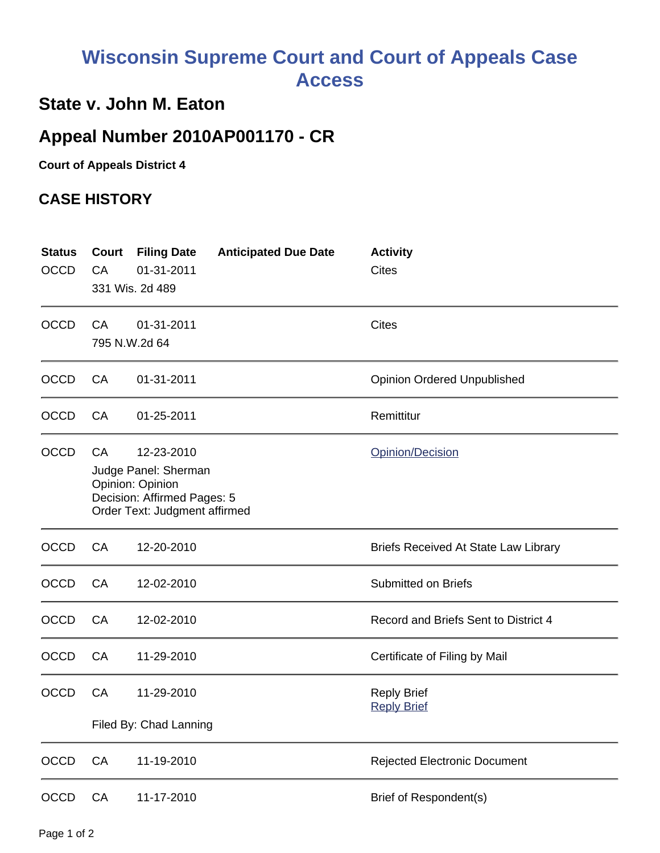## **Wisconsin Supreme Court and Court of Appeals Case Access**

## **State v. John M. Eaton**

## **Appeal Number 2010AP001170 - CR**

**Court of Appeals District 4**

## **CASE HISTORY**

| <b>Status</b><br><b>OCCD</b> | Court<br>CA                                                                                                                                      | <b>Filing Date</b><br>01-31-2011<br>331 Wis. 2d 489 | <b>Anticipated Due Date</b> | <b>Activity</b><br><b>Cites</b>             |
|------------------------------|--------------------------------------------------------------------------------------------------------------------------------------------------|-----------------------------------------------------|-----------------------------|---------------------------------------------|
| <b>OCCD</b>                  | CA                                                                                                                                               | 01-31-2011<br>795 N.W.2d 64                         |                             | <b>Cites</b>                                |
| <b>OCCD</b>                  | CA                                                                                                                                               | 01-31-2011                                          |                             | <b>Opinion Ordered Unpublished</b>          |
| <b>OCCD</b>                  | CA                                                                                                                                               | 01-25-2011                                          |                             | Remittitur                                  |
| <b>OCCD</b>                  | Opinion/Decision<br>CA<br>12-23-2010<br>Judge Panel: Sherman<br>Opinion: Opinion<br>Decision: Affirmed Pages: 5<br>Order Text: Judgment affirmed |                                                     |                             |                                             |
| <b>OCCD</b>                  | CA                                                                                                                                               | 12-20-2010                                          |                             | <b>Briefs Received At State Law Library</b> |
| <b>OCCD</b>                  | CA                                                                                                                                               | 12-02-2010                                          |                             | <b>Submitted on Briefs</b>                  |
| <b>OCCD</b>                  | CA                                                                                                                                               | 12-02-2010                                          |                             | Record and Briefs Sent to District 4        |
| <b>OCCD</b>                  | CA                                                                                                                                               | 11-29-2010                                          |                             | Certificate of Filing by Mail               |
| <b>OCCD</b>                  | CA                                                                                                                                               | 11-29-2010                                          |                             | <b>Reply Brief</b><br><b>Reply Brief</b>    |
|                              | Filed By: Chad Lanning                                                                                                                           |                                                     |                             |                                             |
| OCCD                         | CA                                                                                                                                               | 11-19-2010                                          |                             | <b>Rejected Electronic Document</b>         |
| OCCD                         | CA                                                                                                                                               | 11-17-2010                                          |                             | Brief of Respondent(s)                      |